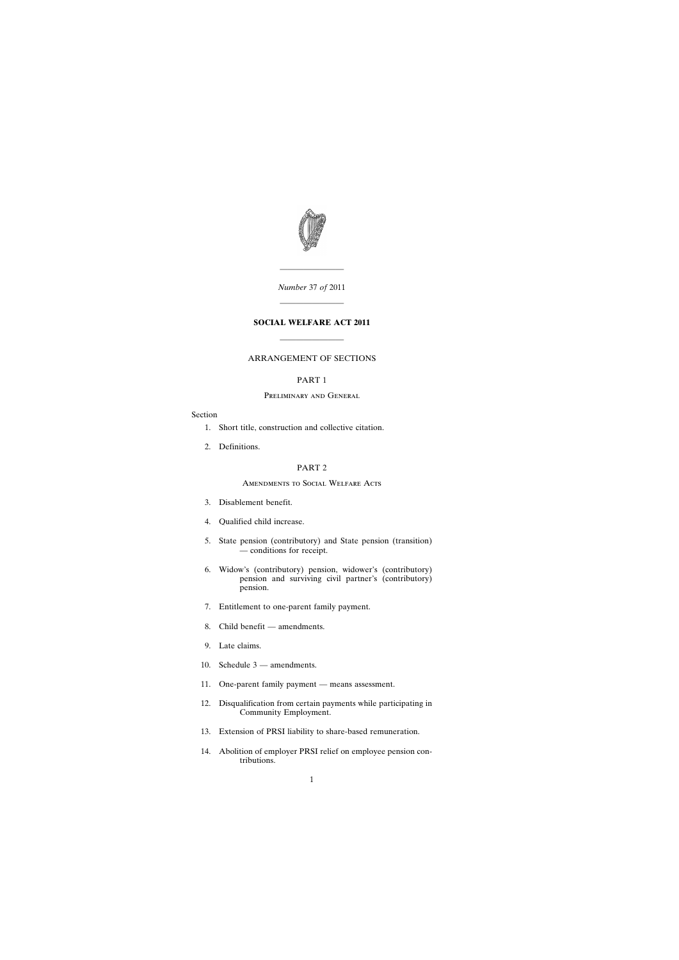

*Number* 37 *of* 2011

————————

————————

## **SOCIAL WELFARE ACT 2011**

————————

## ARRANGEMENT OF SECTIONS

## PART 1

#### Preliminary and General

#### Section

- [1. Short title, construction and collective citation.](#page-2-0)
- [2. Definitions.](#page-2-0)

## PART 2

#### Amendments to Social Welfare Acts

- [3. Disablement benefit.](#page-2-0)
- [4. Qualified child increase.](#page-4-0)
- [5. State pension \(contributory\) and State pension \(transition\)](#page-6-0) — conditions for receipt.
- [6. Widow's \(contributory\) pension, widower's \(contributory\)](#page-7-0) pension and surviving civil partner's (contributory) pension.
- [7. Entitlement to one-parent family payment.](#page-7-0)
- [8. Child benefit amendments.](#page-8-0)
- [9. Late claims.](#page-9-0)
- [10. Schedule 3 amendments.](#page-10-0)
- [11. One-parent family payment means assessment.](#page-10-0)
- [12. Disqualification from certain payments while participating in](#page-11-0) Community Employment.
- [13. Extension of PRSI liability to share-based remuneration.](#page-12-0)
- [14. Abolition of employer PRSI relief on employee pension con](#page-17-0)tributions.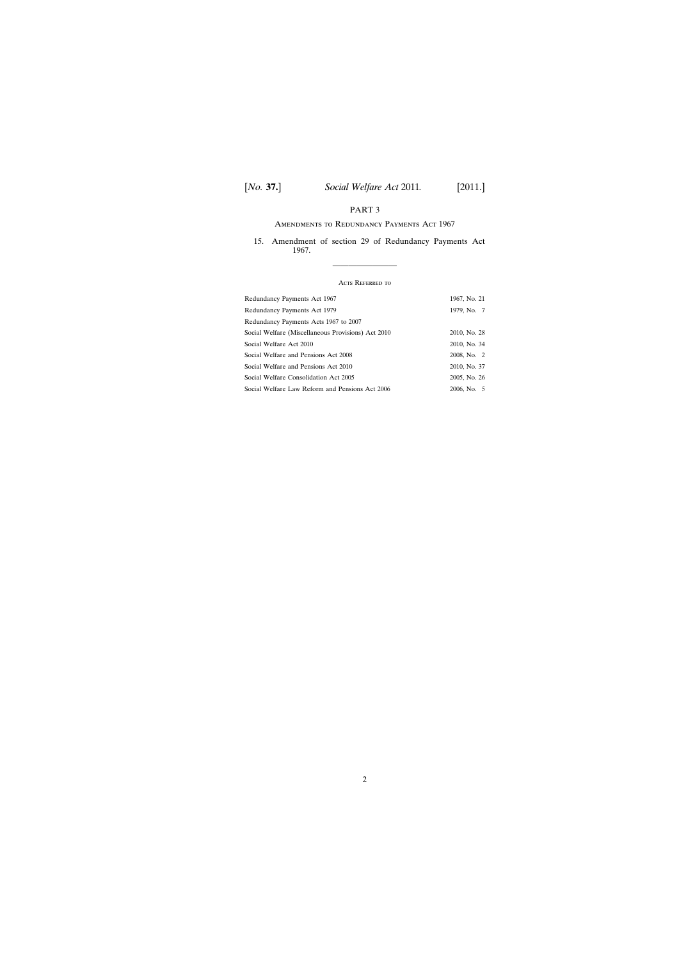# PART 3

## Amendments to Redundancy Payments Act 1967

[15. Amendment of section 29 of Redundancy Payments Act](#page-17-0) 1967.

## Acts Referred to

————————

| Redundancy Payments Act 1967                       | 1967, No. 21 |
|----------------------------------------------------|--------------|
| Redundancy Payments Act 1979                       | 1979, No. 7  |
| Redundancy Payments Acts 1967 to 2007              |              |
| Social Welfare (Miscellaneous Provisions) Act 2010 | 2010, No. 28 |
| Social Welfare Act 2010                            | 2010, No. 34 |
| Social Welfare and Pensions Act 2008               | 2008, No. 2  |
| Social Welfare and Pensions Act 2010               | 2010, No. 37 |
| Social Welfare Consolidation Act 2005              | 2005, No. 26 |
| Social Welfare Law Reform and Pensions Act 2006    | 2006, No. 5  |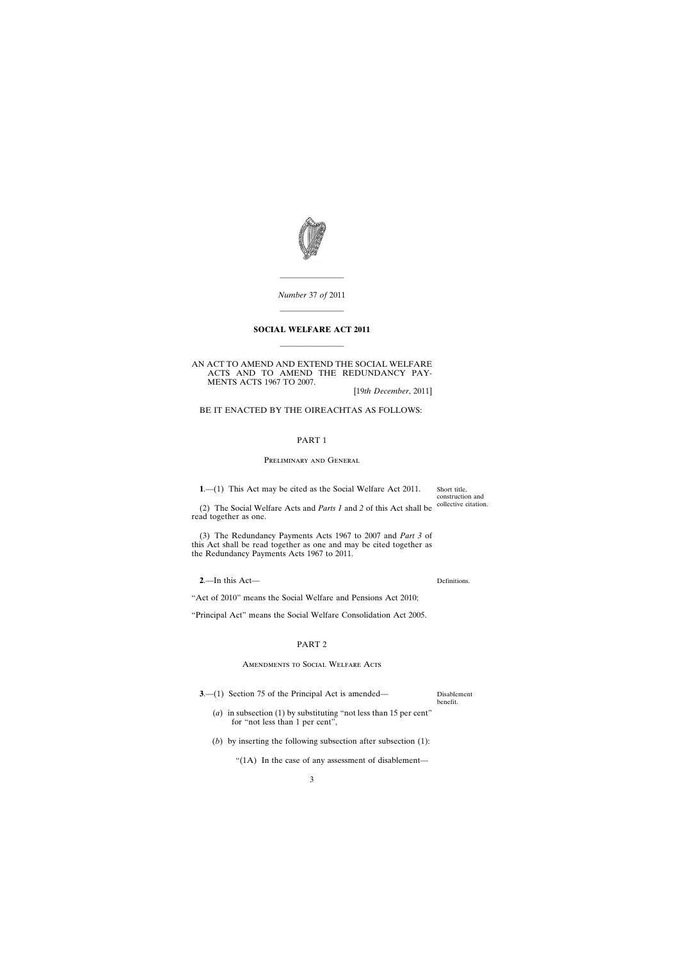<span id="page-2-0"></span>

*Number* 37 *of* 2011 ————————

————————

### **SOCIAL WELFARE ACT 2011**

————————

AN ACT TO AMEND AND EXTEND THE SOCIAL WELFARE ACTS AND TO AMEND THE REDUNDANCY PAY-MENTS ACTS 1967 TO 2007.

[19*th December*, 2011]

BE IT ENACTED BY THE OIREACHTAS AS FOLLOWS:

## PART 1

#### Preliminary and General

**1**.—(1) This Act may be cited as the Social Welfare Act 2011.

(2) The Social Welfare Acts and *Parts 1* and *2* of this Act shall be read together as one.

(3) The Redundancy Payments Acts 1967 to 2007 and *Part 3* of this Act shall be read together as one and may be cited together as the Redundancy Payments Acts 1967 to 2011.

**2**.—In this Act—

"Act of 2010" means the Social Welfare and Pensions Act 2010;

"Principal Act" means the Social Welfare Consolidation Act 2005.

### PART 2

#### Amendments to Social Welfare Acts

**3.**—(1) Section 75 of the Principal Act is amended—

Disablement benefit.

- (*a*) in subsection (1) by substituting "not less than 15 per cent" for "not less than 1 per cent",
- (*b*) by inserting the following subsection after subsection (1):

"(1A) In the case of any assessment of disablement—

Short title, construction and collective citation.

Definitions.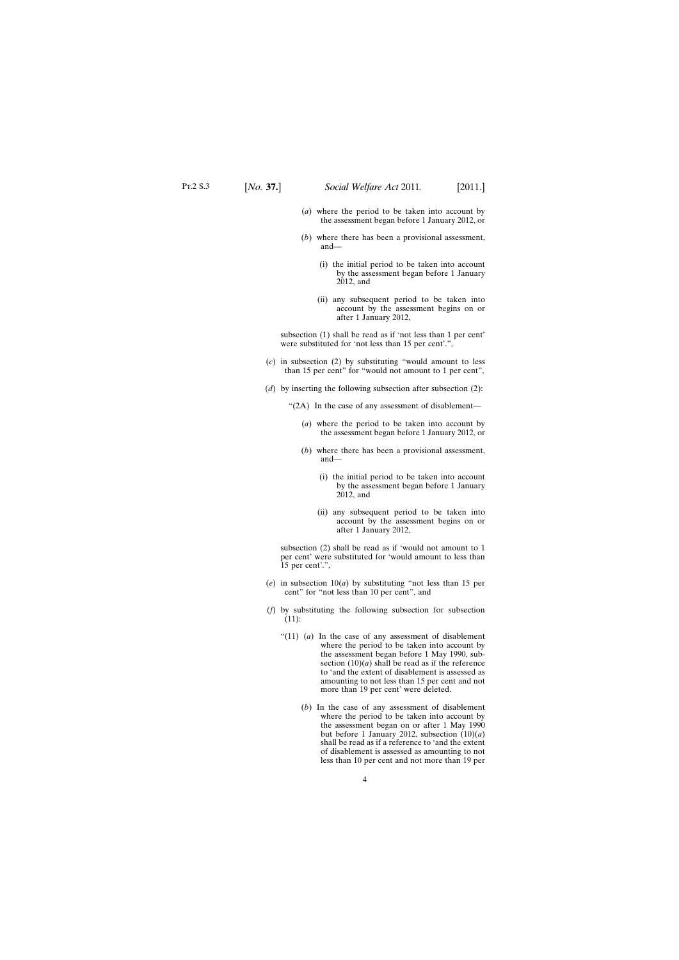- (*a*) where the period to be taken into account by the assessment began before 1 January 2012, or
- (*b*) where there has been a provisional assessment, and—
	- (i) the initial period to be taken into account by the assessment began before 1 January 2012, and
	- (ii) any subsequent period to be taken into account by the assessment begins on or after 1 January 2012,

subsection (1) shall be read as if 'not less than 1 per cent' were substituted for 'not less than 15 per cent'.",

- (*c*) in subsection (2) by substituting "would amount to less than 15 per cent" for "would not amount to 1 per cent",
- (*d*) by inserting the following subsection after subsection (2):

"(2A) In the case of any assessment of disablement—

- (*a*) where the period to be taken into account by the assessment began before 1 January 2012, or
- (*b*) where there has been a provisional assessment, and—
	- (i) the initial period to be taken into account by the assessment began before 1 January 2012, and
	- (ii) any subsequent period to be taken into account by the assessment begins on or after 1 January 2012,

subsection (2) shall be read as if 'would not amount to 1 per cent' were substituted for 'would amount to less than 15 per cent'.",

- (*e*) in subsection 10(*a*) by substituting "not less than 15 per cent" for "not less than 10 per cent", and
- (*f*) by substituting the following subsection for subsection (11):
	- "(11) (*a*) In the case of any assessment of disablement where the period to be taken into account by the assessment began before 1 May 1990, subsection  $(10)(a)$  shall be read as if the reference to 'and the extent of disablement is assessed as amounting to not less than 15 per cent and not more than 19 per cent' were deleted.
		- (*b*) In the case of any assessment of disablement where the period to be taken into account by the assessment began on or after 1 May 1990 but before 1 January 2012, subsection  $(10)(a)$ shall be read as if a reference to 'and the extent of disablement is assessed as amounting to not less than 10 per cent and not more than 19 per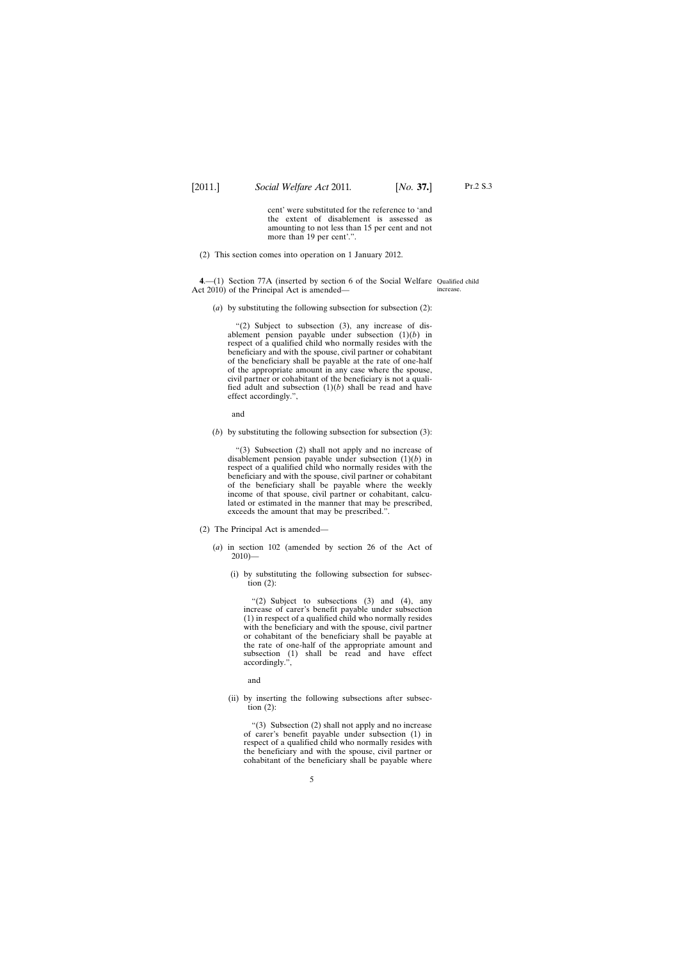cent' were substituted for the reference to 'and the extent of disablement is assessed as amounting to not less than 15 per cent and not more than 19 per cent'.".

<span id="page-4-0"></span>(2) This section comes into operation on 1 January 2012.

**4**.—(1) Section 77A (inserted by section 6 of the Social Welfare Qualified child Act 2010) of the Principal Act is amended increase.

(*a*) by substituting the following subsection for subsection (2):

" $(2)$  Subject to subsection  $(3)$ , any increase of disablement pension payable under subsection (1)(*b*) in respect of a qualified child who normally resides with the beneficiary and with the spouse, civil partner or cohabitant of the beneficiary shall be payable at the rate of one-half of the appropriate amount in any case where the spouse, civil partner or cohabitant of the beneficiary is not a qualified adult and subsection (1)(*b*) shall be read and have effect accordingly.",

and

(*b*) by substituting the following subsection for subsection (3):

"(3) Subsection (2) shall not apply and no increase of disablement pension payable under subsection (1)(*b*) in respect of a qualified child who normally resides with the beneficiary and with the spouse, civil partner or cohabitant of the beneficiary shall be payable where the weekly income of that spouse, civil partner or cohabitant, calculated or estimated in the manner that may be prescribed, exceeds the amount that may be prescribed.".

- (2) The Principal Act is amended—
	- (*a*) in section 102 (amended by section 26 of the Act of  $2010$ )—
		- (i) by substituting the following subsection for subsection  $(2)$ :

"(2) Subject to subsections (3) and (4), any increase of carer's benefit payable under subsection (1) in respect of a qualified child who normally resides with the beneficiary and with the spouse, civil partner or cohabitant of the beneficiary shall be payable at the rate of one-half of the appropriate amount and subsection (1) shall be read and have effect accordingly.",

and

(ii) by inserting the following subsections after subsection  $(2)$ :

"(3) Subsection (2) shall not apply and no increase of carer's benefit payable under subsection (1) in respect of a qualified child who normally resides with the beneficiary and with the spouse, civil partner or cohabitant of the beneficiary shall be payable where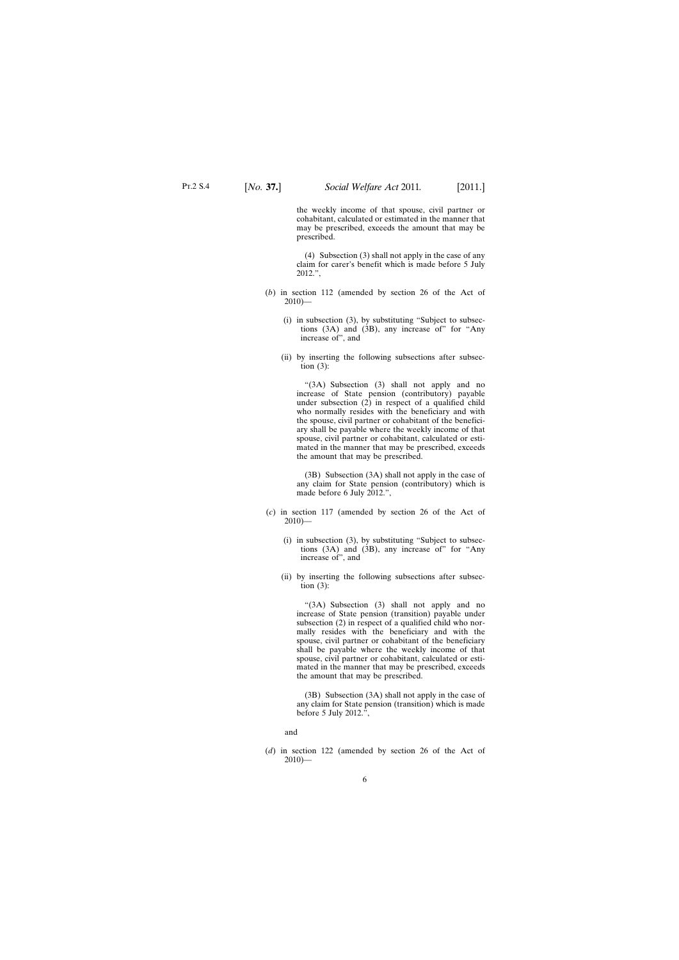the weekly income of that spouse, civil partner or cohabitant, calculated or estimated in the manner that may be prescribed, exceeds the amount that may be prescribed.

(4) Subsection (3) shall not apply in the case of any claim for carer's benefit which is made before 5 July 2012.",

- (*b*) in section 112 (amended by section 26 of the Act of  $2010$ )—
	- (i) in subsection (3), by substituting "Subject to subsections (3A) and (3B), any increase of" for "Any increase of", and
	- (ii) by inserting the following subsections after subsection  $(3)$ :

"(3A) Subsection (3) shall not apply and no increase of State pension (contributory) payable under subsection  $(2)$  in respect of a qualified child who normally resides with the beneficiary and with the spouse, civil partner or cohabitant of the beneficiary shall be payable where the weekly income of that spouse, civil partner or cohabitant, calculated or estimated in the manner that may be prescribed, exceeds the amount that may be prescribed.

(3B) Subsection (3A) shall not apply in the case of any claim for State pension (contributory) which is made before 6 July 2012.",

- (*c*) in section 117 (amended by section 26 of the Act of  $2010$ ) $-$ 
	- (i) in subsection (3), by substituting "Subject to subsections (3A) and (3B), any increase of" for "Any increase of", and
	- (ii) by inserting the following subsections after subsection  $(3)$ :

"(3A) Subsection (3) shall not apply and no increase of State pension (transition) payable under subsection (2) in respect of a qualified child who normally resides with the beneficiary and with the spouse, civil partner or cohabitant of the beneficiary shall be payable where the weekly income of that spouse, civil partner or cohabitant, calculated or estimated in the manner that may be prescribed, exceeds the amount that may be prescribed.

(3B) Subsection (3A) shall not apply in the case of any claim for State pension (transition) which is made before 5 July 2012.",

and

(*d*) in section 122 (amended by section 26 of the Act of  $2010$ )—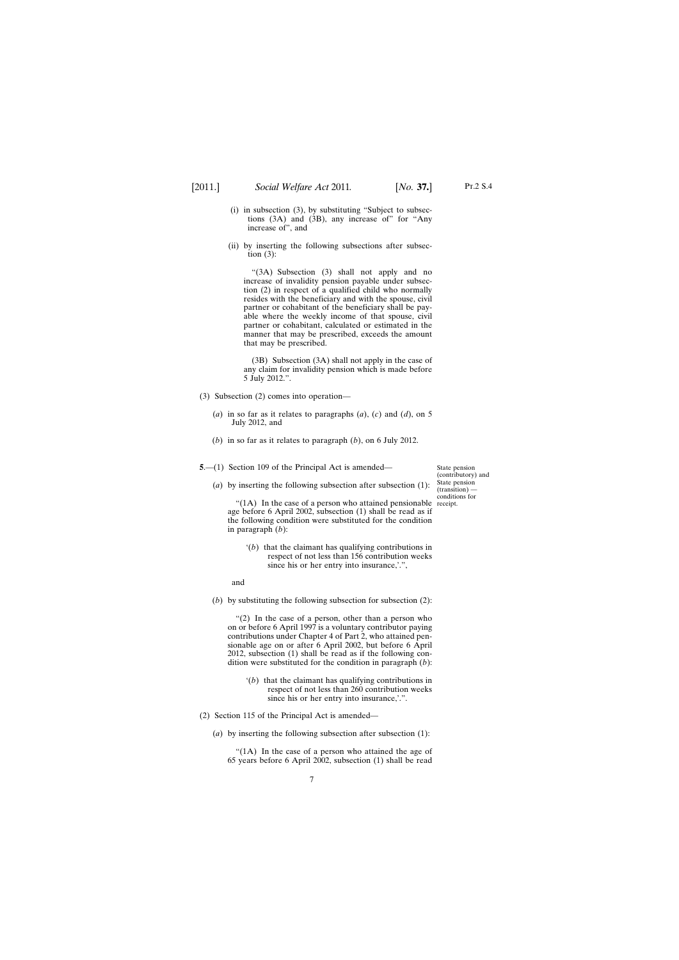Pt.2 S.4

- <span id="page-6-0"></span>(i) in subsection (3), by substituting "Subject to subsections (3A) and (3B), any increase of" for "Any increase of", and
- (ii) by inserting the following subsections after subsection  $(3)$ :

"(3A) Subsection (3) shall not apply and no increase of invalidity pension payable under subsection (2) in respect of a qualified child who normally resides with the beneficiary and with the spouse, civil partner or cohabitant of the beneficiary shall be payable where the weekly income of that spouse, civil partner or cohabitant, calculated or estimated in the manner that may be prescribed, exceeds the amount that may be prescribed.

(3B) Subsection (3A) shall not apply in the case of any claim for invalidity pension which is made before 5 July 2012.".

- (3) Subsection (2) comes into operation—
	- (*a*) in so far as it relates to paragraphs (*a*), (*c*) and (*d*), on 5 July 2012, and
	- (*b*) in so far as it relates to paragraph (*b*), on 6 July 2012.
- **5**.—(1) Section 109 of the Principal Act is amended—
	- (*a*) by inserting the following subsection after subsection (1):

State pension (contributory) and State pension (transition) conditions for receipt.

"(1A) In the case of a person who attained pensionable age before 6 April 2002, subsection (1) shall be read as if the following condition were substituted for the condition in paragraph (*b*):

'(*b*) that the claimant has qualifying contributions in respect of not less than 156 contribution weeks since his or her entry into insurance,'.",

and

(*b*) by substituting the following subsection for subsection (2):

"(2) In the case of a person, other than a person who on or before 6 April 1997 is a voluntary contributor paying contributions under Chapter 4 of Part 2, who attained pensionable age on or after 6 April 2002, but before 6 April 2012, subsection (1) shall be read as if the following condition were substituted for the condition in paragraph (*b*):

- '(*b*) that the claimant has qualifying contributions in respect of not less than 260 contribution weeks since his or her entry into insurance,'.".
- (2) Section 115 of the Principal Act is amended—
	- (*a*) by inserting the following subsection after subsection (1):

"(1A) In the case of a person who attained the age of 65 years before 6 April 2002, subsection (1) shall be read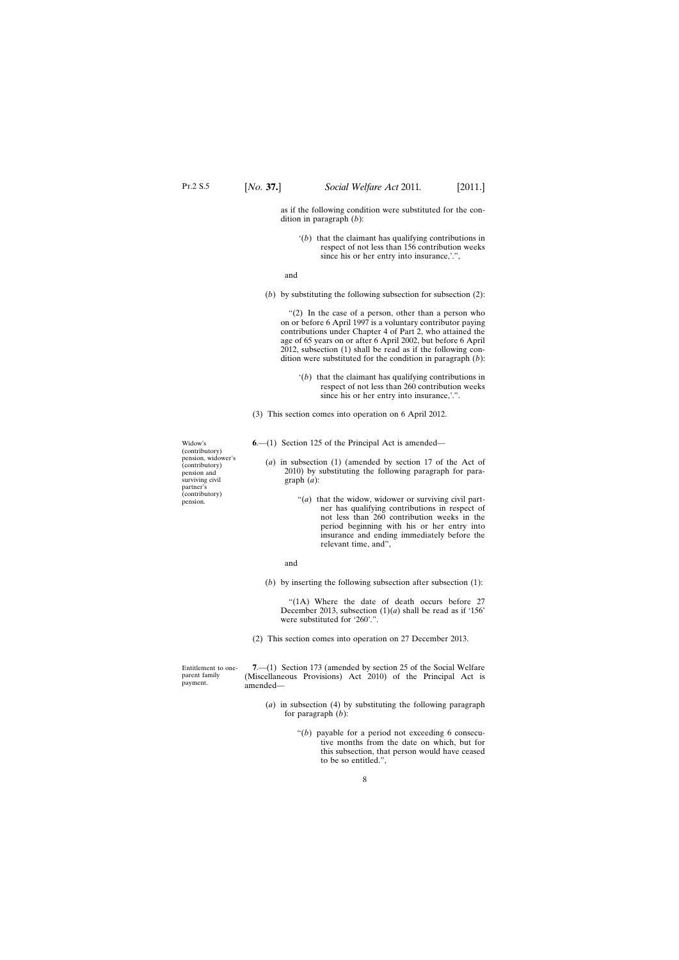<span id="page-7-0"></span>as if the following condition were substituted for the condition in paragraph (*b*):

'(*b*) that the claimant has qualifying contributions in respect of not less than 156 contribution weeks since his or her entry into insurance,'.",

and

(*b*) by substituting the following subsection for subsection (2):

"(2) In the case of a person, other than a person who on or before 6 April 1997 is a voluntary contributor paying contributions under Chapter 4 of Part 2, who attained the age of 65 years on or after 6 April 2002, but before 6 April 2012, subsection (1) shall be read as if the following condition were substituted for the condition in paragraph (*b*):

- '(*b*) that the claimant has qualifying contributions in respect of not less than 260 contribution weeks since his or her entry into insurance,'.".
- (3) This section comes into operation on 6 April 2012.
- **6**.—(1) Section 125 of the Principal Act is amended—
	- (*a*) in subsection (1) (amended by section 17 of the Act of 2010) by substituting the following paragraph for paragraph (*a*):
		- "(*a*) that the widow, widower or surviving civil partner has qualifying contributions in respect of not less than 260 contribution weeks in the period beginning with his or her entry into insurance and ending immediately before the relevant time, and",
		- and
	- (*b*) by inserting the following subsection after subsection (1):

"(1A) Where the date of death occurs before 27 December 2013, subsection  $(1)(a)$  shall be read as if '156' were substituted for '260'.".

(2) This section comes into operation on 27 December 2013.

Entitlement to oneparent family payment.

**7**.—(1) Section 173 (amended by section 25 of the Social Welfare (Miscellaneous Provisions) Act 2010) of the Principal Act is amended—

- (*a*) in subsection (4) by substituting the following paragraph for paragraph (*b*):
	- " $(b)$  payable for a period not exceeding 6 consecutive months from the date on which, but for this subsection, that person would have ceased to be so entitled.",

Widow's (contributory) pension, widower's (contributory) pension and surviving civil partner's (contributory) pension.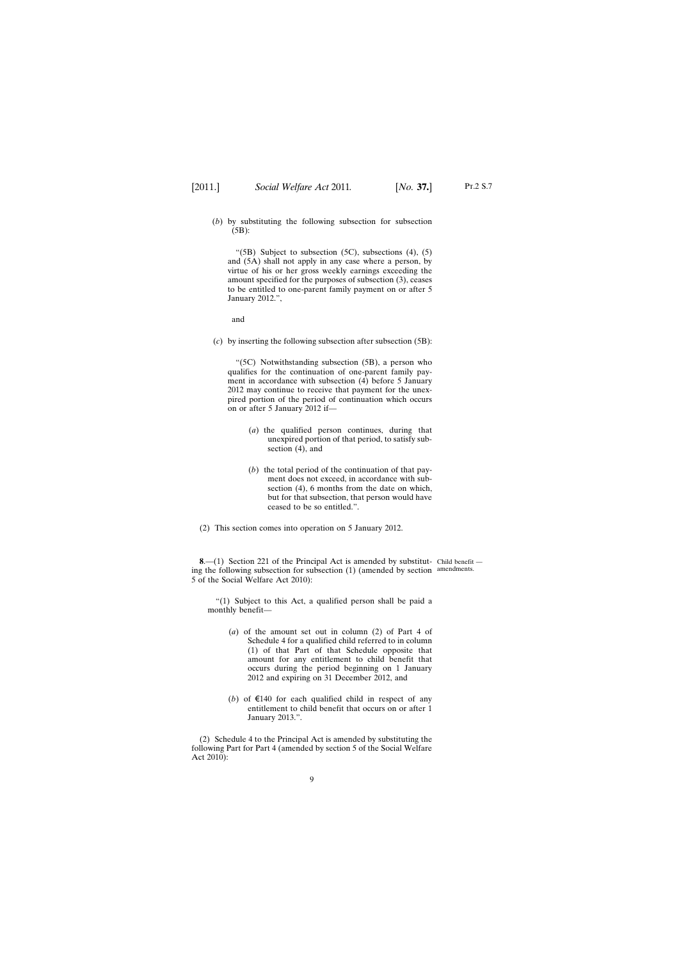<span id="page-8-0"></span>(*b*) by substituting the following subsection for subsection (5B):

"(5B) Subject to subsection  $(5C)$ , subsections  $(4)$ ,  $(5)$ and (5A) shall not apply in any case where a person, by virtue of his or her gross weekly earnings exceeding the amount specified for the purposes of subsection (3), ceases to be entitled to one-parent family payment on or after 5 January 2012.",

and

(*c*) by inserting the following subsection after subsection (5B):

"(5C) Notwithstanding subsection (5B), a person who qualifies for the continuation of one-parent family payment in accordance with subsection (4) before 5 January 2012 may continue to receive that payment for the unexpired portion of the period of continuation which occurs on or after 5 January 2012 if—

- (*a*) the qualified person continues, during that unexpired portion of that period, to satisfy subsection (4), and
- (*b*) the total period of the continuation of that payment does not exceed, in accordance with subsection (4), 6 months from the date on which, but for that subsection, that person would have ceased to be so entitled.".
- (2) This section comes into operation on 5 January 2012.

**8.** - (1) Section 221 of the Principal Act is amended by substitut- Child benefit ing the following subsection for subsection (1) (amended by section amendments.5 of the Social Welfare Act 2010):

"(1) Subject to this Act, a qualified person shall be paid a monthly benefit—

- (*a*) of the amount set out in column (2) of Part 4 of Schedule 4 for a qualified child referred to in column (1) of that Part of that Schedule opposite that amount for any entitlement to child benefit that occurs during the period beginning on 1 January 2012 and expiring on 31 December 2012, and
- (*b*) of  $\epsilon$ 140 for each qualified child in respect of any entitlement to child benefit that occurs on or after 1 January 2013.".

(2) Schedule 4 to the Principal Act is amended by substituting the following Part for Part 4 (amended by section 5 of the Social Welfare Act 2010):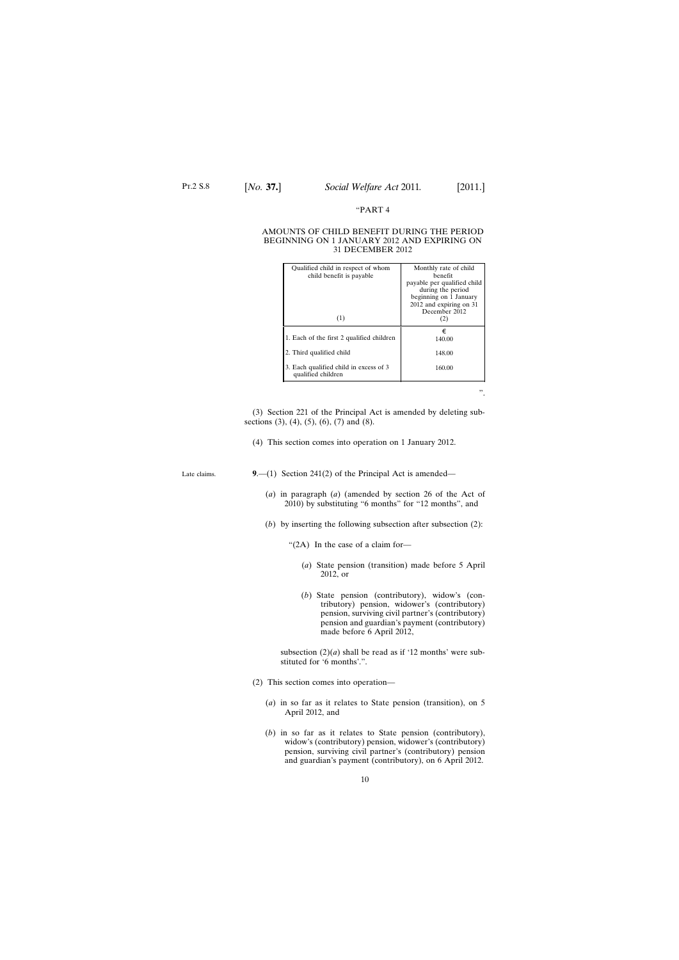## "PART 4

#### <span id="page-9-0"></span>AMOUNTS OF CHILD BENEFIT DURING THE PERIOD BEGINNING ON 1 JANUARY 2012 AND EXPIRING ON 31 DECEMBER 2012

| Qualified child in respect of whom<br>child benefit is payable | Monthly rate of child<br>henefit                 |
|----------------------------------------------------------------|--------------------------------------------------|
|                                                                | payable per qualified child<br>during the period |
|                                                                | beginning on 1 January                           |
|                                                                | 2012 and expiring on 31<br>December 2012         |
| (1)                                                            | (2)                                              |
| 1. Each of the first 2 qualified children                      | €<br>140.00                                      |
| 2. Third qualified child                                       | 148.00                                           |
| 3. Each qualified child in excess of 3<br>qualified children   | 160.00                                           |
|                                                                |                                                  |

(3) Section 221 of the Principal Act is amended by deleting subsections (3), (4), (5), (6), (7) and (8).

(4) This section comes into operation on 1 January 2012.

Late claims.

**9**.—(1) Section 241(2) of the Principal Act is amended—

- (*a*) in paragraph (*a*) (amended by section 26 of the Act of 2010) by substituting "6 months" for "12 months", and
- (*b*) by inserting the following subsection after subsection (2):
	- "(2A) In the case of a claim for—
		- (*a*) State pension (transition) made before 5 April 2012, or
		- (*b*) State pension (contributory), widow's (contributory) pension, widower's (contributory) pension, surviving civil partner's (contributory) pension and guardian's payment (contributory) made before 6 April 2012,

subsection  $(2)(a)$  shall be read as if '12 months' were substituted for '6 months'.".

- (2) This section comes into operation—
	- (*a*) in so far as it relates to State pension (transition), on 5 April 2012, and
	- (*b*) in so far as it relates to State pension (contributory), widow's (contributory) pension, widower's (contributory) pension, surviving civil partner's (contributory) pension and guardian's payment (contributory), on 6 April 2012.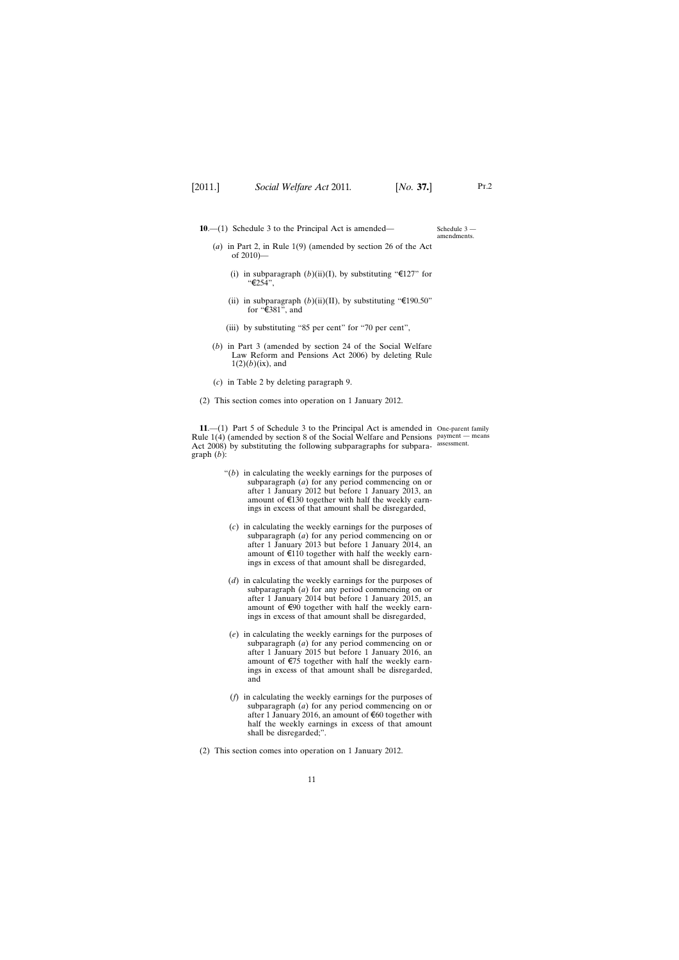<span id="page-10-0"></span>**10**.—(1) Schedule 3 to the Principal Act is amended—

Schedule 3 amendments.

Pt.2

- (*a*) in Part 2, in Rule 1(9) (amended by section 26 of the Act of 2010)—
	- (i) in subparagraph  $(b)(ii)(I)$ , by substituting " $\epsilon$ 127" for "€254",
	- (ii) in subparagraph  $(b)(ii)(II)$ , by substituting "€190.50" for "€381", and
	- (iii) by substituting "85 per cent" for "70 per cent",
- (*b*) in Part 3 (amended by section 24 of the Social Welfare Law Reform and Pensions Act 2006) by deleting Rule  $1(2)(b)$ (ix), and
- (*c*) in Table 2 by deleting paragraph 9.
- (2) This section comes into operation on 1 January 2012.

**11**.—(1) Part 5 of Schedule 3 to the Principal Act is amended in One-parent family Rule 1(4) (amended by section 8 of the Social Welfare and Pensions payment — means Act 2008) by substituting the following subparagraphs for subpara-assessment. graph (*b*):

- "(*b*) in calculating the weekly earnings for the purposes of subparagraph (*a*) for any period commencing on or after 1 January 2012 but before 1 January 2013, an amount of  $\epsilon$ 130 together with half the weekly earnings in excess of that amount shall be disregarded,
	- (*c*) in calculating the weekly earnings for the purposes of subparagraph (*a*) for any period commencing on or after 1 January 2013 but before 1 January 2014, an amount of  $E$ 110 together with half the weekly earnings in excess of that amount shall be disregarded,
- (*d*) in calculating the weekly earnings for the purposes of subparagraph (*a*) for any period commencing on or after 1 January 2014 but before 1 January 2015, an amount of  $\epsilon$ 90 together with half the weekly earnings in excess of that amount shall be disregarded,
- (*e*) in calculating the weekly earnings for the purposes of subparagraph (*a*) for any period commencing on or after 1 January 2015 but before 1 January 2016, an amount of €75 together with half the weekly earnings in excess of that amount shall be disregarded, and
- (*f*) in calculating the weekly earnings for the purposes of subparagraph (*a*) for any period commencing on or after 1 January 2016, an amount of €60 together with half the weekly earnings in excess of that amount shall be disregarded;".
- (2) This section comes into operation on 1 January 2012.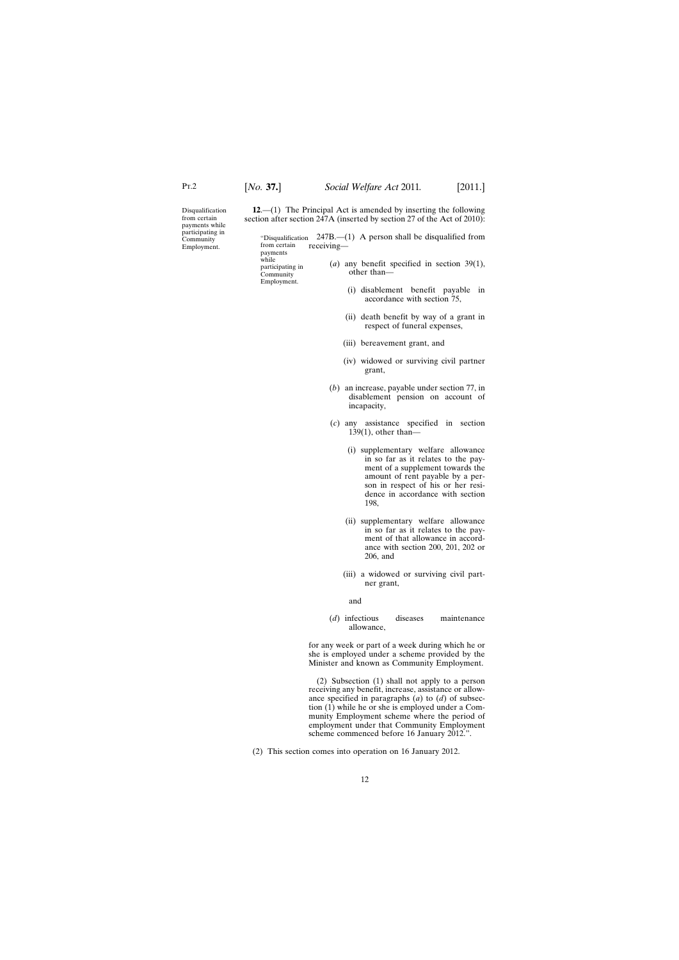<span id="page-11-0"></span>Disqualification from certain payments while participating in **Community** Employment.

**12**.—(1) The Principal Act is amended by inserting the following section after section 247A (inserted by section 27 of the Act of 2010):

"Disqualification 247B.—(1) A person shall be disqualified from from certain payments while participating in **Community** Employment. receiving— (*a*) any benefit specified in section 39(1), other than— (i) disablement benefit payable in

- accordance with section 75, (ii) death benefit by way of a grant in
- respect of funeral expenses,
- (iii) bereavement grant, and
- (iv) widowed or surviving civil partner grant,
- (*b*) an increase, payable under section 77, in disablement pension on account of incapacity,
- (*c*) any assistance specified in section 139(1), other than—
	- (i) supplementary welfare allowance in so far as it relates to the payment of a supplement towards the amount of rent payable by a person in respect of his or her residence in accordance with section 198,
	- (ii) supplementary welfare allowance in so far as it relates to the payment of that allowance in accordance with section 200, 201, 202 or 206, and
	- (iii) a widowed or surviving civil partner grant,

and

(*d*) infectious diseases maintenance allowance,

for any week or part of a week during which he or she is employed under a scheme provided by the Minister and known as Community Employment.

(2) Subsection (1) shall not apply to a person receiving any benefit, increase, assistance or allowance specified in paragraphs (*a*) to (*d*) of subsection (1) while he or she is employed under a Community Employment scheme where the period of employment under that Community Employment scheme commenced before 16 January 2012.".

(2) This section comes into operation on 16 January 2012.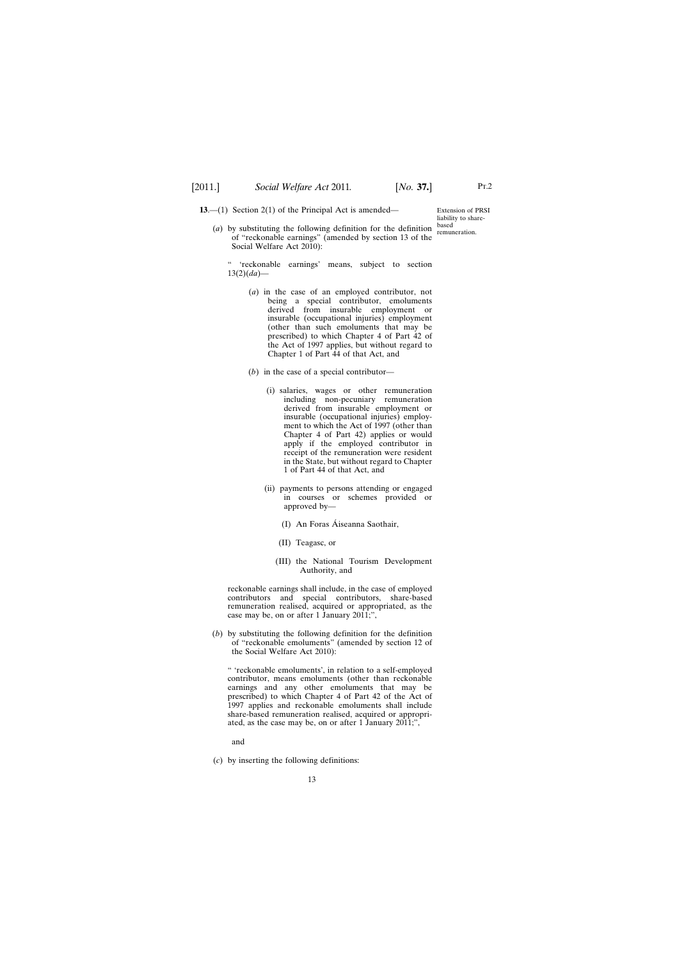<span id="page-12-0"></span>**13.**—(1) Section 2(1) of the Principal Act is amended—

(*a*) by substituting the following definition for the definition of "reckonable earnings" (amended by section 13 of the Social Welfare Act 2010):

Extension of PRSI liability to sharebased remuneration.

Pt.2

" 'reckonable earnings' means, subject to section 13(2)(*da*)—

- (*a*) in the case of an employed contributor, not being a special contributor, emoluments derived from insurable employment or insurable (occupational injuries) employment (other than such emoluments that may be prescribed) to which Chapter 4 of Part 42 of the Act of 1997 applies, but without regard to Chapter 1 of Part 44 of that Act, and
- (*b*) in the case of a special contributor—
	- (i) salaries, wages or other remuneration including non-pecuniary remuneration derived from insurable employment or insurable (occupational injuries) employment to which the Act of 1997 (other than Chapter 4 of Part 42) applies or would apply if the employed contributor in receipt of the remuneration were resident in the State, but without regard to Chapter 1 of Part 44 of that Act, and
	- (ii) payments to persons attending or engaged in courses or schemes provided or approved by—
		- (I) An Foras Áiseanna Saothair,
		- (II) Teagasc, or
		- (III) the National Tourism Development Authority, and

reckonable earnings shall include, in the case of employed contributors and special contributors, share-based remuneration realised, acquired or appropriated, as the case may be, on or after 1 January  $2011$ ;",

(*b*) by substituting the following definition for the definition of "reckonable emoluments" (amended by section 12 of the Social Welfare Act 2010):

" 'reckonable emoluments', in relation to a self-employed contributor, means emoluments (other than reckonable earnings and any other emoluments that may be prescribed) to which Chapter 4 of Part 42 of the Act of 1997 applies and reckonable emoluments shall include share-based remuneration realised, acquired or appropriated, as the case may be, on or after 1 January 2011;",

and

(*c*) by inserting the following definitions: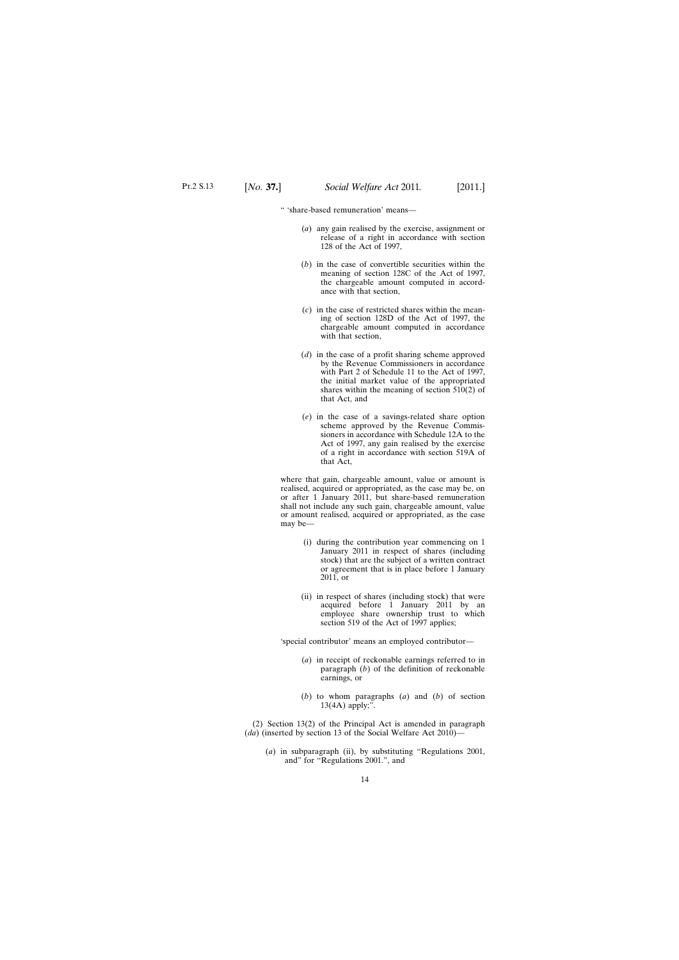" 'share-based remuneration' means—

- (*a*) any gain realised by the exercise, assignment or release of a right in accordance with section 128 of the Act of 1997,
- (*b*) in the case of convertible securities within the meaning of section 128C of the Act of 1997, the chargeable amount computed in accordance with that section,
- (*c*) in the case of restricted shares within the meaning of section 128D of the Act of 1997, the chargeable amount computed in accordance with that section,
- (*d*) in the case of a profit sharing scheme approved by the Revenue Commissioners in accordance with Part 2 of Schedule 11 to the Act of 1997, the initial market value of the appropriated shares within the meaning of section 510(2) of that Act, and
- (*e*) in the case of a savings-related share option scheme approved by the Revenue Commissioners in accordance with Schedule 12A to the Act of 1997, any gain realised by the exercise of a right in accordance with section 519A of that Act,

where that gain, chargeable amount, value or amount is realised, acquired or appropriated, as the case may be, on or after 1 January 2011, but share-based remuneration shall not include any such gain, chargeable amount, value or amount realised, acquired or appropriated, as the case may be—

- (i) during the contribution year commencing on 1 January 2011 in respect of shares (including stock) that are the subject of a written contract or agreement that is in place before 1 January 2011, or
- (ii) in respect of shares (including stock) that were acquired before 1 January 2011 by an employee share ownership trust to which section 519 of the Act of 1997 applies;

'special contributor' means an employed contributor—

- (*a*) in receipt of reckonable earnings referred to in paragraph (*b*) of the definition of reckonable earnings, or
- (*b*) to whom paragraphs (*a*) and (*b*) of section 13(4A) apply;".

(2) Section 13(2) of the Principal Act is amended in paragraph (*da*) (inserted by section 13 of the Social Welfare Act 2010)—

(*a*) in subparagraph (ii), by substituting "Regulations 2001, and" for "Regulations 2001.", and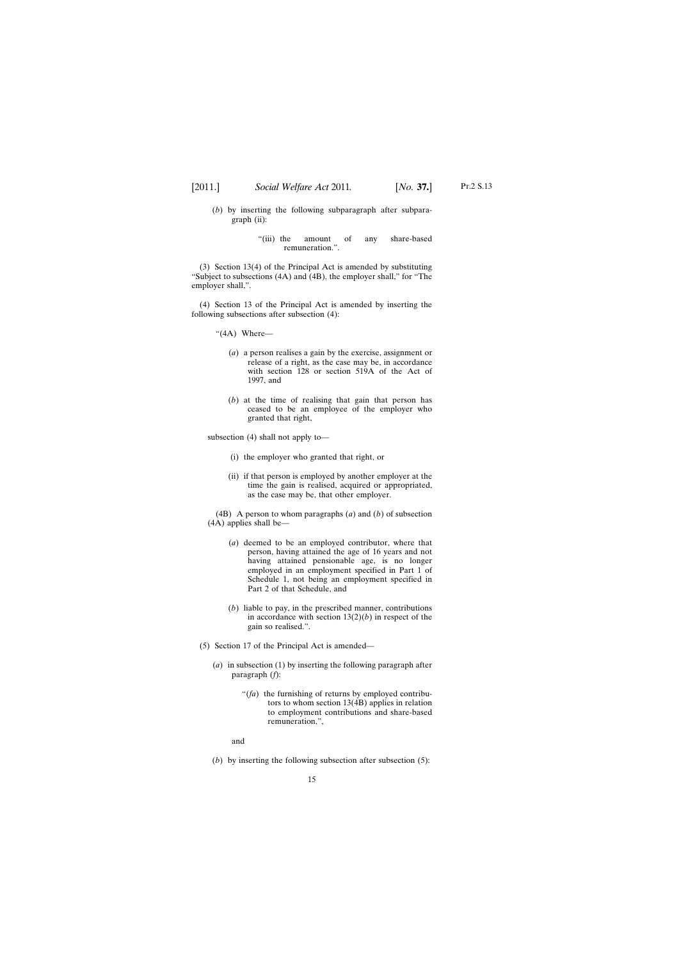- (*b*) by inserting the following subparagraph after subparagraph (ii):
	- "(iii) the amount of any share-based remuneration.".

(3) Section 13(4) of the Principal Act is amended by substituting "Subject to subsections (4A) and (4B), the employer shall," for "The employer shall,".

(4) Section 13 of the Principal Act is amended by inserting the following subsections after subsection (4):

"(4A) Where—

- (*a*) a person realises a gain by the exercise, assignment or release of a right, as the case may be, in accordance with section 128 or section 519A of the Act of 1997, and
- (*b*) at the time of realising that gain that person has ceased to be an employee of the employer who granted that right,

subsection (4) shall not apply to—

- (i) the employer who granted that right, or
- (ii) if that person is employed by another employer at the time the gain is realised, acquired or appropriated, as the case may be, that other employer.

(4B) A person to whom paragraphs (*a*) and (*b*) of subsection (4A) applies shall be—

- (*a*) deemed to be an employed contributor, where that person, having attained the age of 16 years and not having attained pensionable age, is no longer employed in an employment specified in Part 1 of Schedule 1, not being an employment specified in Part 2 of that Schedule, and
- (*b*) liable to pay, in the prescribed manner, contributions in accordance with section  $13(2)(b)$  in respect of the gain so realised.".
- (5) Section 17 of the Principal Act is amended—
	- (*a*) in subsection (1) by inserting the following paragraph after paragraph (*f*):
		- "(*fa*) the furnishing of returns by employed contributors to whom section 13(4B) applies in relation to employment contributions and share-based remuneration,",

and

(*b*) by inserting the following subsection after subsection (5):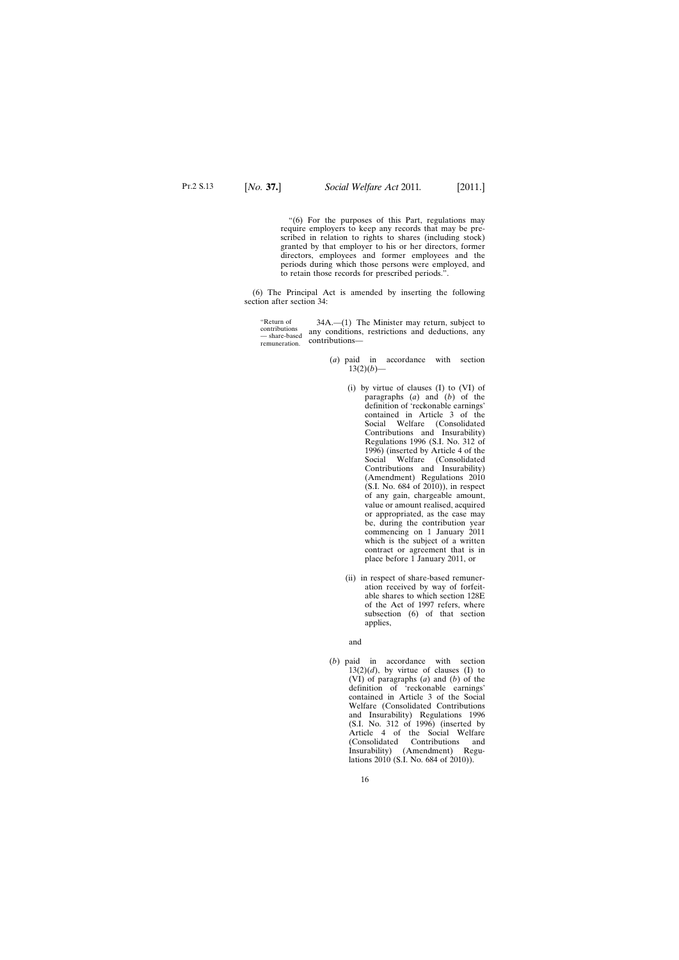"(6) For the purposes of this Part, regulations may require employers to keep any records that may be prescribed in relation to rights to shares (including stock) granted by that employer to his or her directors, former directors, employees and former employees and the periods during which those persons were employed, and to retain those records for prescribed periods.".

(6) The Principal Act is amended by inserting the following section after section 34:

"Return of contributions — share-based remuneration. 34A.—(1) The Minister may return, subject to any conditions, restrictions and deductions, any contributions—

- (*a*) paid in accordance with section  $13(2)(b)$ —
	- (i) by virtue of clauses (I) to (VI) of paragraphs (*a*) and (*b*) of the definition of 'reckonable earnings' contained in Article 3 of the Social Welfare (Consolidated Contributions and Insurability) Regulations 1996 (S.I. No. 312 of 1996) (inserted by Article 4 of the Social Welfare (Consolidated Contributions and Insurability) (Amendment) Regulations 2010 (S.I. No. 684 of 2010)), in respect of any gain, chargeable amount, value or amount realised, acquired or appropriated, as the case may be, during the contribution year commencing on 1 January 2011 which is the subject of a written contract or agreement that is in place before 1 January 2011, or
	- (ii) in respect of share-based remuneration received by way of forfeitable shares to which section 128E of the Act of 1997 refers, where subsection (6) of that section applies,

and

(*b*) paid in accordance with section  $13(2)(d)$ , by virtue of clauses (I) to (VI) of paragraphs (*a*) and (*b*) of the definition of 'reckonable earnings' contained in Article 3 of the Social Welfare (Consolidated Contributions and Insurability) Regulations 1996  $(S.I. No. 312 of 1996)$  (inserted by Article 4 of the Social Welfare (Consolidated Contributions and Insurability) (Amendment) Regulations 2010 (S.I. No. 684 of 2010)).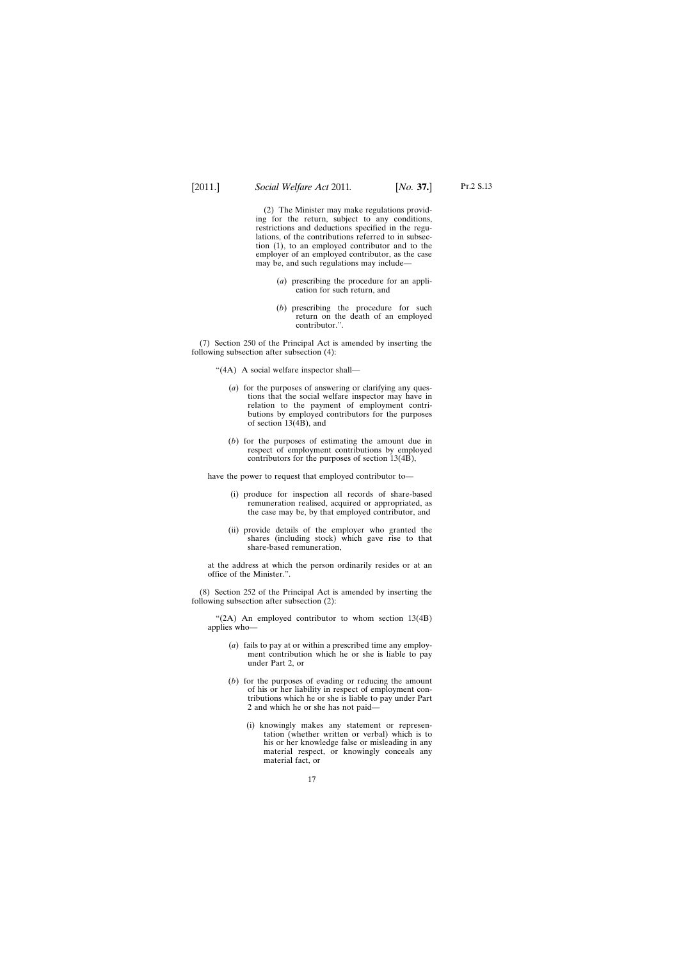(2) The Minister may make regulations providing for the return, subject to any conditions, restrictions and deductions specified in the regulations, of the contributions referred to in subsection (1), to an employed contributor and to the employer of an employed contributor, as the case may be, and such regulations may include—

- (*a*) prescribing the procedure for an application for such return, and
- (*b*) prescribing the procedure for such return on the death of an employed contributor.".

(7) Section 250 of the Principal Act is amended by inserting the following subsection after subsection (4):

- "(4A) A social welfare inspector shall—
	- (*a*) for the purposes of answering or clarifying any questions that the social welfare inspector may have in relation to the payment of employment contributions by employed contributors for the purposes of section 13(4B), and
	- (*b*) for the purposes of estimating the amount due in respect of employment contributions by employed contributors for the purposes of section 13(4B),

have the power to request that employed contributor to—

- (i) produce for inspection all records of share-based remuneration realised, acquired or appropriated, as the case may be, by that employed contributor, and
- (ii) provide details of the employer who granted the shares (including stock) which gave rise to that share-based remuneration,

at the address at which the person ordinarily resides or at an office of the Minister.".

(8) Section 252 of the Principal Act is amended by inserting the following subsection after subsection (2):

"(2A) An employed contributor to whom section 13(4B) applies who—

- (*a*) fails to pay at or within a prescribed time any employment contribution which he or she is liable to pay under Part 2, or
- (*b*) for the purposes of evading or reducing the amount of his or her liability in respect of employment contributions which he or she is liable to pay under Part 2 and which he or she has not paid—
	- (i) knowingly makes any statement or representation (whether written or verbal) which is to his or her knowledge false or misleading in any material respect, or knowingly conceals any material fact, or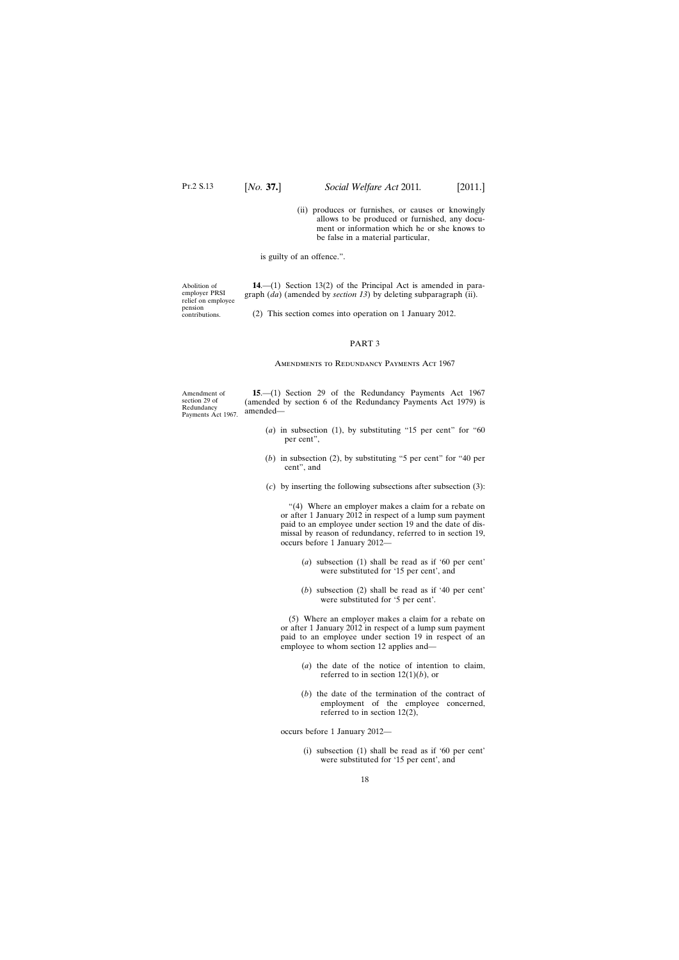(ii) produces or furnishes, or causes or knowingly allows to be produced or furnished, any document or information which he or she knows to be false in a material particular,

is guilty of an offence.".

<span id="page-17-0"></span>Abolition of employer PRSI relief on employee pension contributions.

**14**.—(1) Section 13(2) of the Principal Act is amended in paragraph (*da*) (amended by *section 13*) by deleting subparagraph (ii).

(2) This section comes into operation on 1 January 2012.

#### PART 3

#### Amendments to Redundancy Payments Act 1967

Amendment of section 29 of Redundancy Payments Act 1967. **15**.—(1) Section 29 of the Redundancy Payments Act 1967 (amended by section 6 of the Redundancy Payments Act 1979) is amended—

- (*a*) in subsection (1), by substituting "15 per cent" for "60 per cent",
- (*b*) in subsection (2), by substituting "5 per cent" for "40 per cent", and
- (*c*) by inserting the following subsections after subsection (3):

"(4) Where an employer makes a claim for a rebate on or after 1 January 2012 in respect of a lump sum payment paid to an employee under section 19 and the date of dismissal by reason of redundancy, referred to in section 19, occurs before 1 January 2012—

- (*a*) subsection (1) shall be read as if '60 per cent' were substituted for '15 per cent', and
- (*b*) subsection (2) shall be read as if '40 per cent' were substituted for '5 per cent'.

(5) Where an employer makes a claim for a rebate on or after 1 January 2012 in respect of a lump sum payment paid to an employee under section 19 in respect of an employee to whom section 12 applies and—

- (*a*) the date of the notice of intention to claim, referred to in section  $12(1)(b)$ , or
- (*b*) the date of the termination of the contract of employment of the employee concerned, referred to in section 12(2),

occurs before 1 January 2012—

(i) subsection (1) shall be read as if '60 per cent' were substituted for '15 per cent', and